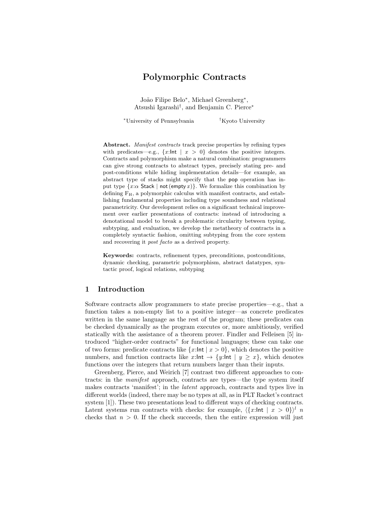# Polymorphic Contracts

João Filipe Belo<sup>\*</sup>, Michael Greenberg<sup>\*</sup>, Atsushi Igarashi† , and Benjamin C. Pierce<sup>∗</sup>

<sup>∗</sup>University of Pennsylvania †Kyoto University

Abstract. Manifest contracts track precise properties by refining types with predicates—e.g.,  $\{x:\mathsf{Int} \mid x > 0\}$  denotes the positive integers. Contracts and polymorphism make a natural combination: programmers can give strong contracts to abstract types, precisely stating pre- and post-conditions while hiding implementation details—for example, an abstract type of stacks might specify that the pop operation has input type  $\{x:\alpha \text{ Stack } | \text{ not } (\text{empty } x)\}.$  We formalize this combination by defining  $F_H$ , a polymorphic calculus with manifest contracts, and establishing fundamental properties including type soundness and relational parametricity. Our development relies on a significant technical improvement over earlier presentations of contracts: instead of introducing a denotational model to break a problematic circularity between typing, subtyping, and evaluation, we develop the metatheory of contracts in a completely syntactic fashion, omitting subtyping from the core system and recovering it post facto as a derived property.

Keywords: contracts, refinement types, preconditions, postconditions, dynamic checking, parametric polymorphism, abstract datatypes, syntactic proof, logical relations, subtyping

### 1 Introduction

Software contracts allow programmers to state precise properties—e.g., that a function takes a non-empty list to a positive integer—as concrete predicates written in the same language as the rest of the program; these predicates can be checked dynamically as the program executes or, more ambitiously, verified statically with the assistance of a theorem prover. Findler and Felleisen [5] introduced "higher-order contracts" for functional languages; these can take one of two forms: predicate contracts like  $\{x:\mathsf{Int} \mid x > 0\}$ , which denotes the positive numbers, and function contracts like x:lnt  $\rightarrow \{y:\mathsf{Int} \mid y \geq x\}$ , which denotes functions over the integers that return numbers larger than their inputs.

Greenberg, Pierce, and Weirich [7] contrast two different approaches to contracts: in the manifest approach, contracts are types—the type system itself makes contracts 'manifest'; in the latent approach, contracts and types live in different worlds (indeed, there may be no types at all, as in PLT Racket's contract system [1]). These two presentations lead to different ways of checking contracts. Latent systems run contracts with checks: for example,  $\langle \{x : \text{Int} \mid x > 0\} \rangle^l$  n checks that  $n > 0$ . If the check succeeds, then the entire expression will just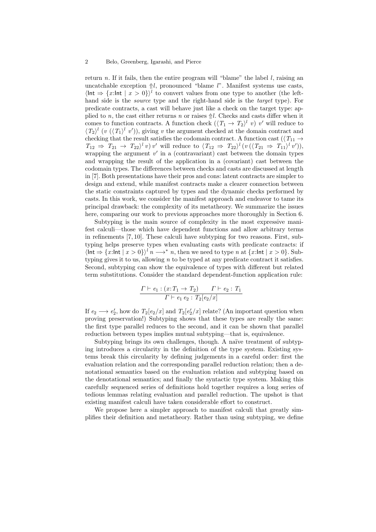return n. If it fails, then the entire program will "blame" the label  $l$ , raising an uncatchable exception  $\Uparrow l$ , pronounced "blame l". Manifest systems use casts,  $\int \int \text{Int} \Rightarrow \{x : \text{Int} \mid x > 0\}$  to convert values from one type to another (the lefthand side is the *source* type and the right-hand side is the *target* type). For predicate contracts, a cast will behave just like a check on the target type: applied to n, the cast either returns n or raises  $\Uparrow l$ . Checks and casts differ when it comes to function contracts. A function check  $(\langle T_1 \to T_2 \rangle^l v) v'$  will reduce to  $\langle T_2 \rangle^l$  (v  $(\langle T_1 \rangle^l v')$ ), giving v the argument checked at the domain contract and checking that the result satisfies the codomain contract. A function cast ( $\langle T_{11} \rightarrow$  $T_{12} \Rightarrow T_{21} \rightarrow T_{22}$ <sup>l</sup> v) v' will reduce to  $\langle T_{12} \Rightarrow T_{22} \rangle$ <sup>l</sup> (v( $\langle T_{21} \Rightarrow T_{11} \rangle$ <sup>l</sup> v')), wrapping the argument  $v'$  in a (contravariant) cast between the domain types and wrapping the result of the application in a (covariant) cast between the codomain types. The differences between checks and casts are discussed at length in [7]. Both presentations have their pros and cons: latent contracts are simpler to design and extend, while manifest contracts make a clearer connection between the static constraints captured by types and the dynamic checks performed by casts. In this work, we consider the manifest approach and endeavor to tame its principal drawback: the complexity of its metatheory. We summarize the issues here, comparing our work to previous approaches more thoroughly in Section 6.

Subtyping is the main source of complexity in the most expressive manifest calculi—those which have dependent functions and allow arbitrary terms in refinements [7, 10]. These calculi have subtyping for two reasons. First, subtyping helps preserve types when evaluating casts with predicate contracts: if  $\ln t \Rightarrow \{x : \ln t \mid x > 0\}^l n \longrightarrow^* n$ , then we need to type n at  $\{x : \ln t \mid x > 0\}$ . Subtyping gives it to us, allowing  $n$  to be typed at any predicate contract it satisfies. Second, subtyping can show the equivalence of types with different but related term substitutions. Consider the standard dependent-function application rule:

$$
\frac{\Gamma \vdash e_1 : (x: T_1 \to T_2) \qquad \Gamma \vdash e_2 : T_1}{\Gamma \vdash e_1 \, e_2 : T_2[e_2/x]}
$$

If  $e_2 \longrightarrow e'_2$ , how do  $T_2[e_2/x]$  and  $T_2[e'_2/x]$  relate? (An important question when proving preservation!) Subtyping shows that these types are really the same: the first type parallel reduces to the second, and it can be shown that parallel reduction between types implies mutual subtyping—that is, equivalence.

Subtyping brings its own challenges, though. A naïve treatment of subtyping introduces a circularity in the definition of the type system. Existing systems break this circularity by defining judgements in a careful order: first the evaluation relation and the corresponding parallel reduction relation; then a denotational semantics based on the evaluation relation and subtyping based on the denotational semantics; and finally the syntactic type system. Making this carefully sequenced series of definitions hold together requires a long series of tedious lemmas relating evaluation and parallel reduction. The upshot is that existing manifest calculi have taken considerable effort to construct.

We propose here a simpler approach to manifest calculi that greatly simplifies their definition and metatheory. Rather than using subtyping, we define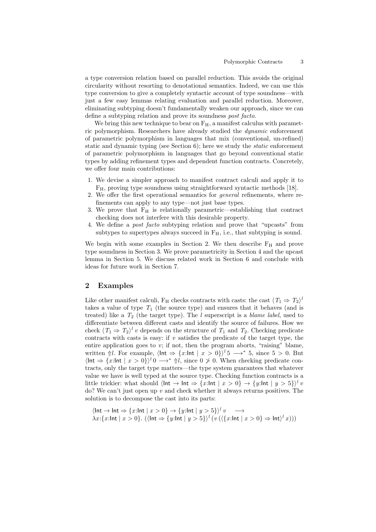a type conversion relation based on parallel reduction. This avoids the original circularity without resorting to denotational semantics. Indeed, we can use this type conversion to give a completely syntactic account of type soundness—with just a few easy lemmas relating evaluation and parallel reduction. Moreover, eliminating subtyping doesn't fundamentally weaken our approach, since we can define a subtyping relation and prove its soundness post facto.

We bring this new technique to bear on  $F_H$ , a manifest calculus with parametric polymorphism. Researchers have already studied the dynamic enforcement of parametric polymorphism in languages that mix (conventional, un-refined) static and dynamic typing (see Section 6); here we study the *static* enforcement of parametric polymorphism in languages that go beyond conventional static types by adding refinement types and dependent function contracts. Concretely, we offer four main contributions:

- 1. We devise a simpler approach to manifest contract calculi and apply it to FH, proving type soundness using straightforward syntactic methods [18].
- 2. We offer the first operational semantics for general refinements, where refinements can apply to any type—not just base types.
- 3. We prove that  $F_H$  is relationally parametric—establishing that contract checking does not interfere with this desirable property.
- 4. We define a post facto subtyping relation and prove that "upcasts" from subtypes to supertypes always succeed in  $F_H$ , i.e., that subtyping is sound.

We begin with some examples in Section 2. We then describe  $F_H$  and prove type soundness in Section 3. We prove parametricity in Section 4 and the upcast lemma in Section 5. We discuss related work in Section 6 and conclude with ideas for future work in Section 7.

# 2 Examples

Like other manifest calculi,  $F_H$  checks contracts with casts: the cast  $\langle T_1 \Rightarrow T_2 \rangle^{\dagger}$ takes a value of type  $T_1$  (the source type) and ensures that it behaves (and is treated) like a  $T_2$  (the target type). The l superscript is a *blame label*, used to differentiate between different casts and identify the source of failures. How we check  $\langle T_1 \Rightarrow T_2 \rangle^l v$  depends on the structure of  $T_1$  and  $T_2$ . Checking predicate contracts with casts is easy: if  $v$  satisfies the predicate of the target type, the entire application goes to  $v$ ; if not, then the program aborts, "raising" blame, written  $\Uparrow l$ . For example,  $\langle \text{Int } \Rightarrow \{x : \text{Int } | x > 0\} \rangle^l$  5  $\longrightarrow^*$  5, since 5 > 0. But  $\ln t \Rightarrow \{x : \ln t \mid x > 0\}^l \cup \rightarrow^* \Uparrow l$ , since  $0 \not\geq 0$ . When checking predicate contracts, only the target type matters—the type system guarantees that whatever value we have is well typed at the source type. Checking function contracts is a little trickier: what should  $\langle \text{Int} \rightarrow \text{Int} \Rightarrow \{x:\text{Int} \mid x > 0\} \rightarrow \{y:\text{Int} \mid y > 5\}\rangle^l v$ do? We can't just open up  $v$  and check whether it always returns positives. The solution is to decompose the cast into its parts:

 $\ln t \to \ln t \Rightarrow \{x:\ln t \mid x > 0\} \to \{y:\ln t \mid y > 5\}^l v \longrightarrow$  $\lambda x$ : { $x$ :Int |  $x > 0$ }. ( $\langle \ln t \Rightarrow \{y:\ln t \mid y > 5\} \rangle$ <sup>l</sup>  $(v (\langle \{x:\ln t \mid x > 0\} \Rightarrow \ln t \rangle^l x)))$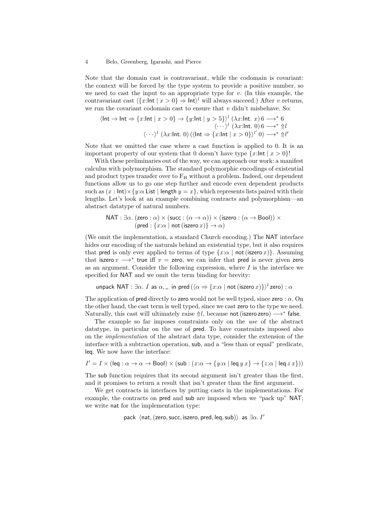Note that the domain cast is contravariant, while the codomain is covariant: the context will be forced by the type system to provide a positive number, so we need to cast the input to an appropriate type for  $v$ . (In this example, the contravariant cast  $\langle \{x : \text{Int} \mid x > 0\} \Rightarrow \text{Int}\rangle^l$  will always succeed.) After v returns, we run the covariant codomain cast to ensure that  $v$  didn't misbehave. So:

$$
\langle \ln t \to \ln t \Rightarrow \{x:\ln t \mid x > 0\} \to \{y:\ln t \mid y > 5\}^l (\lambda x:\ln t. \ x) \neq 6 \cdots \rangle^l (\lambda x:\ln t. \ 0) \neq 6 \cdots \rangle^l (\lambda x:\ln t. \ 0) (\langle \ln t \Rightarrow \{x:\ln t \mid x > 0\}^l) \to^* \pi^l
$$

Note that we omitted the case where a cast function is applied to 0. It is an important property of our system that 0 doesn't have type  $\{x:\mathsf{Int} \mid x > 0\}!$ 

With these preliminaries out of the way, we can approach our work: a manifest calculus with polymorphism. The standard polymorphic encodings of existential and product types transfer over to  $F_H$  without a problem. Indeed, our dependent functions allow us to go one step further and encode even dependent products such as  $(x : \text{Int}) \times \{y : \alpha \text{ List } | \text{ length } y = x\}$ , which represents lists paired with their lengths. Let's look at an example combining contracts and polymorphism—an abstract datatype of natural numbers.

$$
NAT : ∃α. (zero : α) × (succ : (α → α)) × (iszero : (α → Bool)) × (pred : {x : α | not (iszero x)} → α)
$$

(We omit the implementation, a standard Church encoding.) The NAT interface hides our encoding of the naturals behind an existential type, but it also requires that pred is only ever applied to terms of type  $\{x:\alpha \mid \text{not}(i) \in \mathcal{X}\}$ . Assuming that iszero  $v \longrightarrow^*$  true iff  $v =$  zero, we can infer that pred is never given zero as an argument. Consider the following expression, where  $I$  is the interface we specified for NAT and we omit the term binding for brevity:

unpack NAT :  $\exists \alpha$ . I as  $\alpha$ , in pred ( $\langle \alpha \Rightarrow \{x : \alpha \mid \text{not (iszero } x) \} \rangle^l$ zero) :  $\alpha$ 

The application of pred directly to zero would not be well typed, since zero :  $\alpha$ . On the other hand, the cast term is well typed, since we cast zero to the type we need. Naturally, this cast will ultimately raise  $\Uparrow l$ , because not (iszero zero)  $\longrightarrow^*$  false.

The example so far imposes constraints only on the use of the abstract datatype, in particular on the use of pred. To have constraints imposed also on the implementation of the abstract data type, consider the extension of the interface with a subtraction operation, sub, and a "less than or equal" predicate, leq. We now have the interface:

$$
I'=I\times(\text{leg}:\alpha\to\alpha\to\text{Bool})\times(\text{sub}:(x{:}\alpha\to\{y{:}\alpha\mid\text{leg}\ y\ x\}\to\{z{:}\alpha\mid\text{leg}\ z\ x\}))
$$

The sub function requires that its second argument isn't greater than the first, and it promises to return a result that isn't greater than the first argument.

We get contracts in interfaces by putting casts in the implementations. For example, the contracts on pred and sub are imposed when we "pack up" NAT; we write nat for the implementation type:

pack  $\langle$ nat, (zero, succ, iszero, pred, leq, sub)) as  $\exists \alpha$ . I'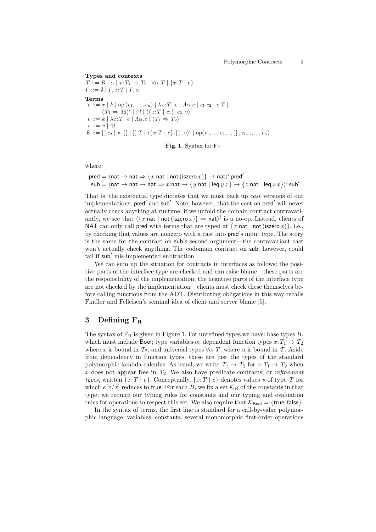Types and contexts  $T ::= B \mid \alpha \mid x : T_1 \rightarrow T_2 \mid \forall \alpha \cdot T \mid \{x : T \mid e\}$  $\Gamma ::= \emptyset | \Gamma, x : T | \Gamma, \alpha$ Terms  $e ::= x | k | op (e_1, ..., e_n) | \lambda x : T. e | \Lambda \alpha . e | e_1 e_2 | e T |$  $\langle T_1 \Rightarrow T_2 \rangle^l \mid \Uparrow l \mid \langle \{x: T \mid e_1\}, e_2, v \rangle^l$  $v ::= k \mid \lambda x : T. e \mid \Lambda \alpha . e \mid \langle T_1 \Rightarrow T_2 \rangle^{\lambda}$  $r ::= v | \Uparrow l$  $E ::= [\,] \; e_2 \; | \; v_1 \; [ \;] \; [ \; ] \; T \; | \; \langle \{x:T \; | \; e\}, [ \; ] \; , v \rangle^l \; | \; \text{op}(v_1,...,v_{i-1}, [ \; ] \; , e_{i+1},...,e_n)$ 

Fig. 1. Syntax for F<sup>H</sup>

where:

 $\mathsf{pred} = \langle \mathsf{nat} \rightarrow \mathsf{nat} \Rightarrow \{x \mathsf{:nat} \mid \mathsf{not}\, (\mathsf{iszero}\, x) \} \rightarrow \mathsf{nat} \rangle^l\, \mathsf{pred}'$  $\mathsf{sub} = \langle \mathsf{nat} \to \mathsf{nat} \to \mathsf{nat} \Rightarrow x{:}\mathsf{nat} \to \{y{:}\mathsf{nat} \mid \mathsf{leq}\ y\ x\} \to \{z{:}\mathsf{nat} \mid \mathsf{leq}\ z\ x\} \rangle^l \mathsf{sub}'$ 

That is, the existential type dictates that we must pack up cast versions of our implementations, pred' and sub'. Note, however, that the cast on pred' will never actually check anything at runtime: if we unfold the domain contract contravariantly, we see that  $\langle \{x : \text{nat} \mid \text{not}(\text{iszero } x) \} \Rightarrow \text{nat} \rangle^l$  is a no-op. Instead, clients of NAT can only call pred with terms that are typed at  $\{x:\text{nat} \mid \text{not}(i)$  i.e., by checking that values are nonzero with a cast into pred's input type. The story is the same for the contract on sub's second argument—the contravariant cast won't actually check anything. The codomain contract on sub, however, could fail if  $sub'$  mis-implemented subtraction.

We can sum up the situation for contracts in interfaces as follows: the positive parts of the interface type are checked and can raise blame—these parts are the responsibility of the implementation; the negative parts of the interface type are not checked by the implementation—clients must check these themselves before calling functions from the ADT. Distributing obligations in this way recalls Findler and Felleisen's seminal idea of client and server blame [5].

# 3 Defining  $F_H$

The syntax of  $F_H$  is given in Figure 1. For unrefined types we have: base types  $B$ , which must include Bool; type variables  $\alpha$ ; dependent function types  $x: T_1 \to T_2$ where x is bound in  $T_2$ ; and universal types  $\forall \alpha$ . T, where  $\alpha$  is bound in T. Aside from dependency in function types, these are just the types of the standard polymorphic lambda calculus. As usual, we write  $T_1 \rightarrow T_2$  for  $x: T_1 \rightarrow T_2$  when  $x$  does not appear free in  $T_2$ . We also have predicate contracts, or *refinement* types, written  $\{x:T \mid e\}$ . Conceptually,  $\{x:T \mid e\}$  denotes values v of type T for which  $e[v/x]$  reduces to true. For each B, we fix a set  $\mathcal{K}_B$  of the constants in that type; we require our typing rules for constants and our typing and evaluation rules for operations to respect this set. We also require that  $K_{\text{Bool}} = \{\text{true}, \text{false}\}.$ 

In the syntax of terms, the first line is standard for a call-by-value polymorphic language: variables, constants, several monomorphic first-order operations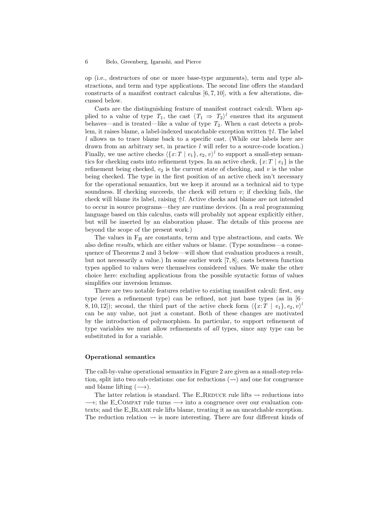op (i.e., destructors of one or more base-type arguments), term and type abstractions, and term and type applications. The second line offers the standard constructs of a manifest contract calculus [6, 7, 10], with a few alterations, discussed below.

Casts are the distinguishing feature of manifest contract calculi. When applied to a value of type  $T_1$ , the cast  $\langle T_1 \Rightarrow T_2 \rangle^l$  ensures that its argument behaves—and is treated—like a value of type  $T_2$ . When a cast detects a problem, it raises blame, a label-indexed uncatchable exception written  $\Uparrow l$ . The label l allows us to trace blame back to a specific cast. (While our labels here are drawn from an arbitrary set, in practice  $l$  will refer to a source-code location.) Finally, we use active checks  $\langle \{x:T \mid e_1\}, e_2, v \rangle^l$  to support a small-step semantics for checking casts into refinement types. In an active check,  $\{x : T \mid e_1\}$  is the refinement being checked,  $e_2$  is the current state of checking, and v is the value being checked. The type in the first position of an active check isn't necessary for the operational semantics, but we keep it around as a technical aid to type soundness. If checking succeeds, the check will return  $v$ ; if checking fails, the check will blame its label, raising  $\Uparrow l$ . Active checks and blame are not intended to occur in source programs—they are runtime devices. (In a real programming language based on this calculus, casts will probably not appear explicitly either, but will be inserted by an elaboration phase. The details of this process are beyond the scope of the present work.)

The values in F<sup>H</sup> are constants, term and type abstractions, and casts. We also define results, which are either values or blame. (Type soundness—a consequence of Theorems 2 and 3 below—will show that evaluation produces a result, but not necessarily a value.) In some earlier work [7, 8], casts between function types applied to values were themselves considered values. We make the other choice here: excluding applications from the possible syntactic forms of values simplifies our inversion lemmas.

There are two notable features relative to existing manifest calculi: first, *any* type (even a refinement type) can be refined, not just base types (as in [6– 8, 10, 12]); second, the third part of the active check form  $\langle \{x : T \mid e_1\}, e_2, v \rangle$ can be any value, not just a constant. Both of these changes are motivated by the introduction of polymorphism. In particular, to support refinement of type variables we must allow refinements of all types, since any type can be substituted in for a variable.

### Operational semantics

The call-by-value operational semantics in Figure 2 are given as a small-step relation, split into two sub-relations: one for reductions  $(\sim)$  and one for congruence and blame lifting  $(\rightarrow)$ .

The latter relation is standard. The E\_REDUCE rule lifts  $\sim$  reductions into  $\rightarrow$ ; the E\_COMPAT rule turns  $\rightarrow$  into a congruence over our evaluation contexts; and the E\_BLAME rule lifts blame, treating it as an uncatchable exception. The reduction relation  $\sim$  is more interesting. There are four different kinds of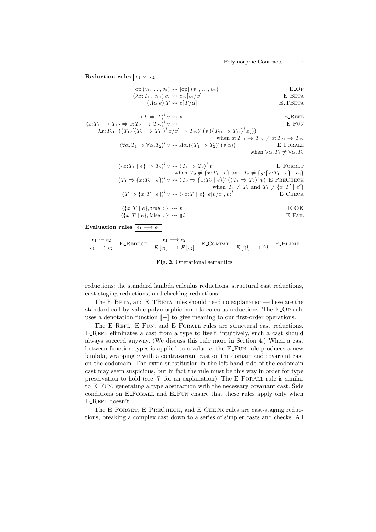Reduction rules  $\boxed{e_1 \leadsto e_2}$  $op(v_1, ..., v_n) \rightsquigarrow [op](v_1, ..., v_n)$  E\_Op  $(\lambda x: T_1. e_{12}) v_2 \leadsto e_{12}[v_2/x]$  E\_BETA  $(A\alpha e) T \rightsquigarrow e[T/\alpha]$  E\_TBETA  $\langle T \Rightarrow T \rangle^l v \leadsto v$  E\_REFL  $\langle x: T_{11} \to T_{12} \Rightarrow x: T_{21} \to T_{22} \rangle^l v \rightsquigarrow$  E\_FUN  $\lambda x: T_{21}. \ (\langle T_{12}[\langle T_{21} \Rightarrow T_{11}\rangle^{l} x/x] \Rightarrow T_{22}\rangle^{l} (v(\langle T_{21} \Rightarrow T_{11}\rangle^{l} x)))$ when  $x: T_{11} \to T_{12} \neq x: T_{21} \to T_{22}$  $\langle \forall \alpha \cdot T_1 \Rightarrow \forall \alpha \cdot T_2 \rangle^l v \rightsquigarrow A \alpha. (\langle T_1 \Rightarrow T_2 \rangle^l (v \alpha))$  E\_FORALL when  $\forall \alpha$ .  $T_1 \neq \forall \alpha$ .  $T_2$  $\langle \{x: T_1 | e \} \Rightarrow T_2 \rangle^l v \leadsto \langle T_1 \Rightarrow T_2 \rangle^l v$  E\_FORGET when  $T_2 \neq \{x : T_1 \mid e\}$  and  $T_2 \neq \{y : \{x : T_1 \mid e\} \mid e_2\}$  $\langle T_1 \Rightarrow \{x: T_2 \mid e \} \rangle^l v \rightsquigarrow \langle T_2 \Rightarrow \{x: T_2 \mid e \} \rangle^l (\langle T_1 \Rightarrow T_2 \rangle^l v) \text{ E\_PRECHECK}$ when  $T_1 \neq T_2$  and  $T_1 \neq \{x : T' \mid e'\}$  $\langle T \Rightarrow \{x : T \mid e\} \rangle^l v \rightsquigarrow \langle \{x : T \mid e\}, e[v/x], v \rangle^l$  E\_CHECK  $\langle \{x:T \mid e\}, \text{true}, v \rangle^l \leadsto v$  E\_OK  $\langle \{x:T \mid e\}, \mathsf{false}, v \rangle^l \leadsto \Uparrow l$  E\_FAIL

### Evaluation rules  $\boxed{e_1 \longrightarrow e_2}$

$$
\frac{e_1 \rightsquigarrow e_2}{e_1 \longrightarrow e_2} \quad \text{E\_REDUCE} \quad \frac{e_1 \longrightarrow e_2}{E[e_1] \longrightarrow E[e_2]} \quad \text{E\_COMPATH} \quad \frac{E[\uparrow l] \longrightarrow \uparrow l}{E[\uparrow l] \longrightarrow \uparrow l} \quad \text{E\_BLAME}
$$

#### Fig. 2. Operational semantics

reductions: the standard lambda calculus reductions, structural cast reductions, cast staging reductions, and checking reductions.

The E\_BETA, and E\_TBETA rules should need no explanation—these are the standard call-by-value polymorphic lambda calculus reductions. The E Op rule uses a denotation function  $\llbracket - \rrbracket$  to give meaning to our first-order operations.

The E\_REFL, E\_FUN, and E\_FORALL rules are structural cast reductions. E REFL eliminates a cast from a type to itself; intuitively, such a cast should always succeed anyway. (We discuss this rule more in Section 4.) When a cast between function types is applied to a value  $v$ , the E\_FUN rule produces a new lambda, wrapping  $v$  with a contravariant cast on the domain and covariant cast on the codomain. The extra substitution in the left-hand side of the codomain cast may seem suspicious, but in fact the rule must be this way in order for type preservation to hold (see  $[7]$  for an explanation). The E\_FORALL rule is similar to E Fun, generating a type abstraction with the necessary covariant cast. Side conditions on E\_FORALL and E\_FUN ensure that these rules apply only when  $\operatorname{E\_REFL}$  doesn't.

The E\_FORGET, E\_PRECHECK, and E\_CHECK rules are cast-staging reductions, breaking a complex cast down to a series of simpler casts and checks. All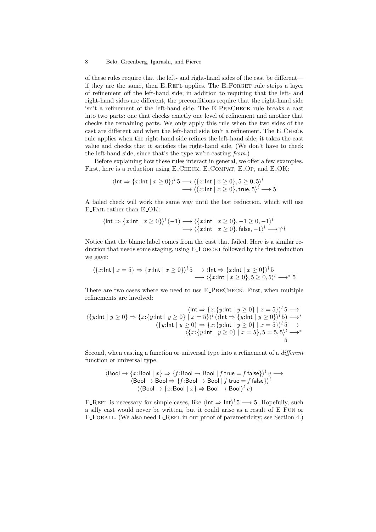of these rules require that the left- and right-hand sides of the cast be different if they are the same, then E\_REFL applies. The E\_FORGET rule strips a layer of refinement off the left-hand side; in addition to requiring that the left- and right-hand sides are different, the preconditions require that the right-hand side isn't a refinement of the left-hand side. The E PreCheck rule breaks a cast into two parts: one that checks exactly one level of refinement and another that checks the remaining parts. We only apply this rule when the two sides of the cast are different and when the left-hand side isn't a refinement. The E Check rule applies when the right-hand side refines the left-hand side; it takes the cast value and checks that it satisfies the right-hand side. (We don't have to check the left-hand side, since that's the type we're casting from.)

Before explaining how these rules interact in general, we offer a few examples. First, here is a reduction using E\_CHECK, E\_COMPAT, E\_OP, and E\_OK:

$$
\langle \ln t \Rightarrow \{x:\ln t \mid x \ge 0\} \rangle^l 5 \longrightarrow \langle \{x:\ln t \mid x \ge 0\}, 5 \ge 0, 5 \rangle^l
$$
  
 
$$
\longrightarrow \langle \{x:\ln t \mid x \ge 0\}, \text{true}, 5 \rangle^l \longrightarrow 5
$$

A failed check will work the same way until the last reduction, which will use E Fail rather than E OK:

$$
\langle \text{Int} \Rightarrow \{x:\text{Int} \mid x \ge 0\} \rangle^l (-1) \longrightarrow \langle \{x:\text{Int} \mid x \ge 0\}, -1 \ge 0, -1 \rangle^l
$$
  

$$
\longrightarrow \langle \{x:\text{Int} \mid x \ge 0\}, \text{false}, -1 \rangle^l \longrightarrow \Uparrow l
$$

Notice that the blame label comes from the cast that failed. Here is a similar reduction that needs some staging, using E\_FORGET followed by the first reduction we gave:

$$
\langle \{x:\text{Int} \mid x=5\} \Rightarrow \{x:\text{Int} \mid x\geq 0\} \rangle^l 5 \longrightarrow \langle \text{Int} \Rightarrow \{x:\text{Int} \mid x\geq 0\} \rangle^l 5
$$
  

$$
\longrightarrow \langle \{x:\text{Int} \mid x\geq 0\}, 5\geq 0, 5 \rangle^l \longrightarrow^* 5
$$

There are two cases where we need to use E PreCheck. First, when multiple refinements are involved:

$$
\langle \mathsf{Int} \Rightarrow \{x:\{y:\mathsf{Int} \mid y \ge 0\} \mid x = 5\} \rangle^l \mathrel{\mathop{\longrightarrow}} \longrightarrow \langle \{y:\mathsf{Int} \mid y \ge 0\} \mid x = 5\} \rangle^l \langle \mathsf{Int} \Rightarrow \{y:\mathsf{Int} \mid y \ge 0\} \rangle^l \mathrel{\mathop{\longrightarrow}} \longrightarrow^* \langle \{y:\mathsf{Int} \mid y \ge 0\} \Rightarrow \{x:\{y:\mathsf{Int} \mid y \ge 0\} \mid x = 5\} \rangle^l \mathrel{\mathop{\longrightarrow}} \longrightarrow \langle \{x:\{y:\mathsf{Int} \mid y \ge 0\} \mid x = 5\}, 5 = 5, 5 \rangle^l \longrightarrow^* \rangle
$$

Second, when casting a function or universal type into a refinement of a different function or universal type.

$$
\langle \text{Bool} \to \{x: \text{Bool} \mid x\} \Rightarrow \{f: \text{Bool} \to \text{Bool} \mid f \text{ true} = f \text{ false}\} \rangle^l v \longrightarrow
$$
  

$$
\langle \text{Bool} \to \text{Bool} \Rightarrow \{f: \text{Bool} \to \text{Bool} \mid f \text{ true} = f \text{ false}\} \rangle^l
$$
  

$$
(\langle \text{Bool} \to \{x: \text{Bool} \mid x\} \Rightarrow \text{Bool} \to \text{Bool} \rangle^l v)
$$

E\_REFL is necessary for simple cases, like  $\langle \text{Int } \Rightarrow \text{Int} \rangle^l 5 \longrightarrow 5$ . Hopefully, such a silly cast would never be written, but it could arise as a result of E Fun or E Forall. (We also need E Refl in our proof of parametricity; see Section 4.)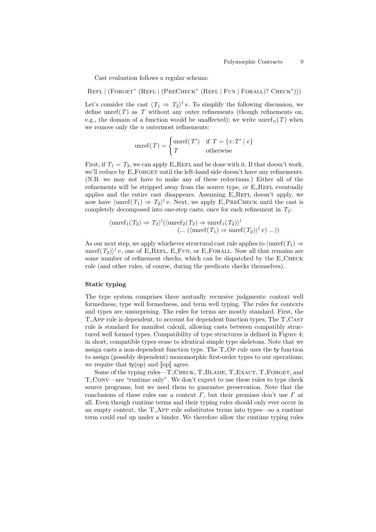Cast evaluation follows a regular schema:

REFL | (FORGET<sup>\*</sup> (REFL | (PRECHECK<sup>\*</sup> (REFL | FUN | FORALL)? CHECK<sup>\*</sup>)))

Let's consider the cast  $\langle T_1 \Rightarrow T_2 \rangle^l v$ . To simplify the following discussion, we define unref(T) as T without any outer refinements (though refinements on, e.g., the domain of a function would be unaffected); we write unref<sub>n</sub>(T) when we remove only the  $n$  outermost refinements:

$$
unref(T) = \begin{cases} unref(T') & \text{if } T = \{x : T' \mid e\} \\ T & \text{otherwise} \end{cases}
$$

First, if  $T_1 = T_2$ , we can apply E\_REFL and be done with it. If that doesn't work, we'll reduce by E\_FORGET until the left-hand side doesn't have any refinements. (N.B. we may not have to make any of these reductions.) Either all of the refinements will be stripped away from the source type, or  $E$ -REFL eventually applies and the entire cast disappears. Assuming E\_REFL doesn't apply, we now have  $\langle \text{unref}(T_1) \Rightarrow T_2 \rangle^l v$ . Next, we apply E\_PRECHECK until the cast is completely decomposed into one-step casts, once for each refinement in  $T_2$ :

$$
\langle \operatorname{unref}_1(T_2) \Rightarrow T_2 \rangle^l(\langle \operatorname{unref}_2(T_2) \Rightarrow \operatorname{unref}_1(T_2) \rangle^l \newline (\dots (\langle \operatorname{unref}(T_1) \Rightarrow \operatorname{unref}(T_2) \rangle^l v) \dots))
$$

As our next step, we apply whichever structural cast rule applies to  $\langle \text{unref}(T_1) \Rightarrow$ unref $(T_2)$ <sup>l</sup> v, one of E\_REFL, E\_FUN, or E\_FORALL. Now all that remains are some number of refinement checks, which can be dispatched by the E\_CHECK rule (and other rules, of course, during the predicate checks themselves).

#### Static typing

The type system comprises three mutually recursive judgments: context well formedness, type well formedness, and term well typing. The rules for contexts and types are unsurprising. The rules for terms are mostly standard. First, the T App rule is dependent, to account for dependent function types. The T Cast rule is standard for manifest calculi, allowing casts between compatibly structured well formed types. Compatibility of type structures is defined in Figure 4; in short, compatible types erase to identical simple type skeletons. Note that we assign casts a non-dependent function type. The T Op rule uses the ty function to assign (possibly dependent) monomorphic first-order types to our operations; we require that  $ty(op)$  and  $[op]$  agree.

Some of the typing rules—T\_CHECK, T\_BLAME, T\_EXACT, T\_FORGET, and T Conv—are "runtime only". We don't expect to use these rules to type check source programs, but we need them to guarantee preservation. Note that the conclusions of these rules use a context  $\Gamma$ , but their premises don't use  $\Gamma$  at all. Even though runtime terms and their typing rules should only ever occur in an empty context, the T App rule substitutes terms into types—so a runtime term could end up under a binder. We therefore allow the runtime typing rules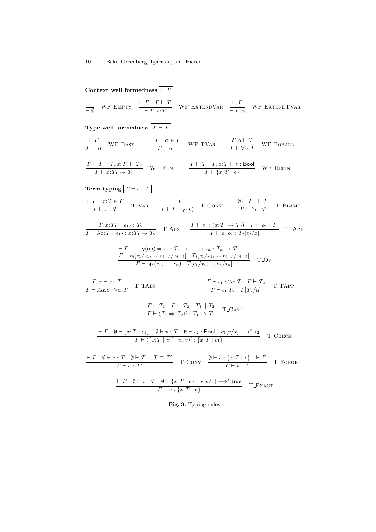Context well formedness 
$$
\boxed{F}
$$
  
\n $\frac{F}{F}$  WF-ENTEVP  
\n $\frac{F}{F}$  WF-ENTEVP  
\n $\frac{F}{F}$  WF-ENTEVP  
\n $\frac{F}{F}$  WF-ENTEVP  
\n $\frac{F}{F}$  WF-BASE  
\n $\frac{F}{F} + \frac{F}{F}$  WF-TVAR  
\n $\frac{F}{F} + \frac{F}{F}$  WF-FORALL  
\n $\frac{F}{F} + \frac{F}{F}$  WF-EME  
\n $\frac{F}{F} + \frac{F}{F}$  WF-FLVAR  
\n $\frac{F}{F} + \frac{F}{F}$  LF-FCVAR  
\n $\frac{F}{F} + \frac{F}{F}$  LF-ECVAR  
\n $\frac{F}{F} + \frac{F}{F}$  T. VAR  
\n $\frac{F}{F} + \frac{F}{F}$  T. VAR  
\n $\frac{F}{F} + \frac{F}{F}$  T. ONST  
\n $\frac{\theta + T}{F + \frac{F}{F}}$  T. BLAME  
\n $\frac{F}{F} + \frac{F}{F}$  T. BLAME  
\n $\frac{F}{F} + \frac{F}{F}$  T. DIAME  
\n $\frac{F}{F} + \frac{F}{F}$  T. DIAME  
\n $\frac{F}{F} + \frac{F}{F}$  T. DIA BE  
\n $\frac{F}{F} + \frac{F}{F}$  T. DIA BE  
\n $\frac{F}{F} + \frac{F}{F}$  T. D.  
\n $\frac{F}{F} + \frac{F}{F}$  T. D.  
\n $\frac{F}{F} + \frac{F}{F}$  T. D.  
\n $\frac{F}{F} + \frac{F}{F}$  T. D.  
\n $\frac{F}{F} + \frac{F}{F}$  T. T. D.  
\n $\frac{F}{F} + \frac{F}{F}$  T. T. D.  
\n $\frac{F}{F} + \frac{F}{F}$  T. T. D.  
\n $\frac{F}{F} + \frac{F}{F}$  T. T. D.  
\n $\frac{F}{F} + \frac{F}{F}$  T. T. D.  
\n $\frac{F}{F$ 

Fig. 3. Typing rules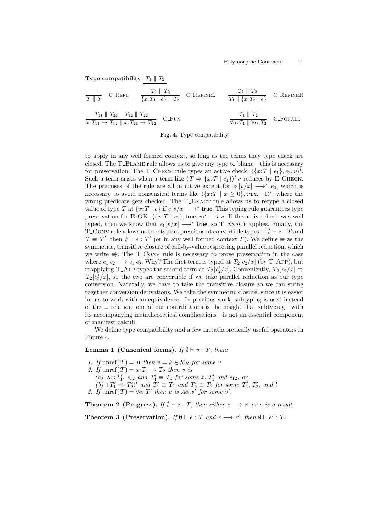

Fig. 4. Type compatibility

to apply in any well formed context, so long as the terms they type check are closed. The T Blame rule allows us to give any type to blame—this is necessary for preservation. The T\_CHECK rule types an active check,  $\langle \{x : T \mid e_1\}, e_2, v \rangle^l$ . Such a term arises when a term like  $\langle T \Rightarrow \{x : T \mid e_1\} \rangle^l v$  reduces by E\_CHECK. The premises of the rule are all intuitive except for  $e_1[v/x] \longrightarrow^* e_2$ , which is necessary to avoid nonsensical terms like  $\langle \{x : T \mid x \geq 0\}, \text{true}, -1 \rangle^l$ , where the wrong predicate gets checked. The T\_EXACT rule allows us to retype a closed value of type T at  $\{x:T \mid e\}$  if  $e[v/x] \longrightarrow^*$  true. This typing rule guarantees type preservation for E\_OK:  $\langle \{x:T \mid e_1\}, \text{true}, v \rangle^l \longrightarrow v$ . If the active check was well typed, then we know that  $e_1[v/x] \longrightarrow^*$  true, so T\_EXACT applies. Finally, the T\_CONV rule allows us to retype expressions at convertible types: if  $\emptyset \vdash e : T$  and  $T \equiv T'$ , then  $\emptyset \vdash e : T'$  (or in any well formed context  $\Gamma$ ). We define  $\equiv$  as the symmetric, transitive closure of call-by-value respecting parallel reduction, which we write  $\Rightarrow$ . The T\_CONV rule is necessary to prove preservation in the case where  $e_1 e_2 \longrightarrow e_1 e_2'$ . Why? The first term is typed at  $T_2[e_2/x]$  (by T\_App), but reapplying T\_App types the second term at  $T_2[e'_2/x]$ . Conveniently,  $T_2[e_2/x] \Rightarrow$  $T_2[e'_2/x]$ , so the two are convertible if we take parallel reduction as our type conversion. Naturally, we have to take the transitive closure so we can string together conversion derivations. We take the symmetric closure, since it is easier for us to work with an equivalence. In previous work, subtyping is used instead of the  $\equiv$  relation; one of our contributions is the insight that subtyping—with its accompanying metatheoretical complications—is not an essential component of manifest calculi.

We define type compatibility and a few metatheoretically useful operators in Figure 4.

## Lemma 1 (Canonical forms). If  $\emptyset \vdash v : T$ , then:

- 1. If unref(T) = B then  $v = k \in \mathcal{K}_B$  for some v
- 2. If unref(T) =  $x: T_1 \rightarrow T_2$  then v is

(a)  $\lambda x$ :  $T_1'$ ,  $e_{12}$  and  $T_1' \equiv T_1$  for some  $x$ ,  $T_1'$  and  $e_{12}$ , or

- (b)  $\langle T_1' \Rightarrow T_2' \rangle^l$  and  $T_1' \equiv T_1$  and  $T_2' \equiv T_2$  for some  $T_1', T_2',$  and i
- 3. If  $\text{unref}(T) = \forall \alpha \cdot T'$  then v is  $\Lambda \alpha \cdot v'$  for some v'.

**Theorem 2 (Progress).** If  $\emptyset \vdash e : T$ , then either  $e \longrightarrow e'$  or e is a result.

**Theorem 3 (Preservation).** If  $\emptyset \vdash e : T$  and  $e \longrightarrow e'$ , then  $\emptyset \vdash e' : T$ .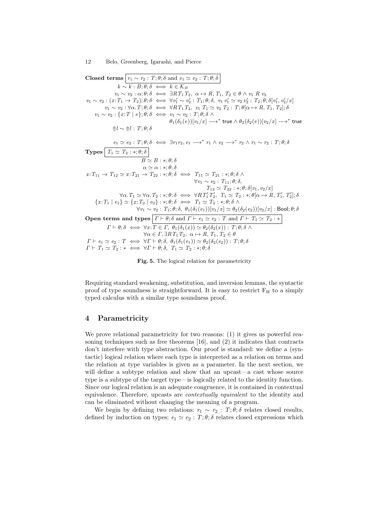**Closed terms**  $r_1 \sim r_2$ :  $T; \theta; \delta$  and  $e_1 \simeq e_2$ :  $T; \theta; \delta$  $k \sim k : B; \theta; \delta \iff k \in \mathcal{K}_B$  $v_1 \sim v_2 : \alpha; \theta; \delta \iff \exists RT_1T_2, \alpha \mapsto R, T_1, T_2 \in \theta \wedge v_1 R v_2$  $v_1 \sim v_2 : (x: T_1 \to T_2); \theta; \delta \iff \forall v_1' \sim v_2' : T_1; \theta; \delta, v_1 v_1' \simeq v_2 v_2' : T_2; \theta; \delta[v_1', v_2'/x]$  $v_1 \sim v_2 : \forall \alpha \ldotp T; \theta; \delta \iff \forall RT_1 \, T_2, v_1 \, T_1 \simeq v_2 \, T_2 : T; \theta \, \alpha \mapsto R, T_1, T_2 \, ; \delta$  $v_1 \sim v_2 : \{x : T \mid e\}; \theta; \delta \iff v_1 \sim v_2 : T; \theta; \delta \land \phi$  $\theta_1(\delta_1(e))[v_1/x] \longrightarrow^*$  true  $\wedge \theta_2(\delta_2(e))[v_2/x] \longrightarrow^*$  true ⇑l ∼ ⇑l : T; θ; δ  $e_1 \simeq e_2 : T; \theta; \delta \iff \exists r_1 r_2, e_1 \longrightarrow^* r_1 \wedge e_2 \longrightarrow^* r_2 \wedge r_1 \sim r_2 : T; \theta; \delta$ **Types**  $T_1 \simeq T_2 : *; \theta; \delta$  $\overline{B} \simeq B : *, \theta; \delta$  $\alpha \simeq \alpha : *, \theta; \delta$  $x: T_{11} \rightarrow T_{12} \simeq x: T_{21} \rightarrow T_{22} : *, \theta; \delta \iff T_{11} \simeq T_{21} : *, \theta; \delta \land \phi$  $\forall v_1 \sim v_2 : T_{11}; \theta; \delta,$  $T_{12} \simeq T_{22} : *, \theta; \delta[v_1, v_2/x]$  $\forall \alpha \ldotp T_1 \simeq \forall \alpha \ldotp T_2 : *, \theta; \delta \iff \forall RT'_1 T'_2, T_1 \simeq T_2 : *, \theta[\alpha \mapsto R, T'_1, T'_2]; \delta$  ${x: T_1 \mid e_1} \simeq {x: T_2 \mid e_2} : *, \theta; \delta \iff T_1 \simeq T_2 : *, \theta; \delta \land$  $\forall v_1 \sim v_2 : T_1; \theta; \delta, \theta_1(\delta_1(e_1))[v_1/x] \simeq \theta_2(\delta_2(e_2))[v_2/x] : \text{Bool}; \theta; \delta$ Open terms and types  $\boxed{\Gamma \vdash \theta; \delta \text{ and } \Gamma \vdash e_1 \simeq e_2 : T \text{ and } \Gamma \vdash T_1 \simeq T_2 : * }$  $\Gamma \vdash \theta; \delta \iff \forall x \colon T \in \Gamma, \ \theta_1(\delta_1(x)) \simeq \theta_2(\delta_2(x)) : T; \theta; \delta \land \phi$  $\forall \alpha \in \Gamma, \exists R T_1 T_2, \ \alpha \mapsto R, T_1, T_2 \in \theta$  $\Gamma \vdash e_1 \simeq e_2 : T \iff \forall \Gamma \vdash \theta; \delta, \ \theta_1(\delta_1(e_1)) \simeq \theta_2(\delta_2(e_2)) : T; \theta; \delta$  $\Gamma \vdash T_1 \simeq T_2 : * \iff \forall \Gamma \vdash \theta; \delta, T_1 \simeq T_2 : *; \theta; \delta$ 

Fig. 5. The logical relation for parametricity

Requiring standard weakening, substitution, and inversion lemmas, the syntactic proof of type soundness is straightforward. It is easy to restrict  $F_H$  to a simply typed calculus with a similar type soundness proof.

# 4 Parametricity

We prove relational parametricity for two reasons: (1) it gives us powerful reasoning techniques such as free theorems [16], and (2) it indicates that contracts don't interfere with type abstraction. Our proof is standard: we define a (syntactic) logical relation where each type is interpreted as a relation on terms and the relation at type variables is given as a parameter. In the next section, we will define a subtype relation and show that an upcast—a cast whose source type is a subtype of the target type—is logically related to the identity function. Since our logical relation is an adequate congruence, it is contained in contextual equivalence. Therefore, upcasts are *contextually equivalent* to the identity and can be eliminated without changing the meaning of a program.

We begin by defining two relations:  $r_1 \sim r_2$ :  $T; \theta; \delta$  relates closed results, defined by induction on types;  $e_1 \simeq e_2 : T; \theta; \delta$  relates closed expressions which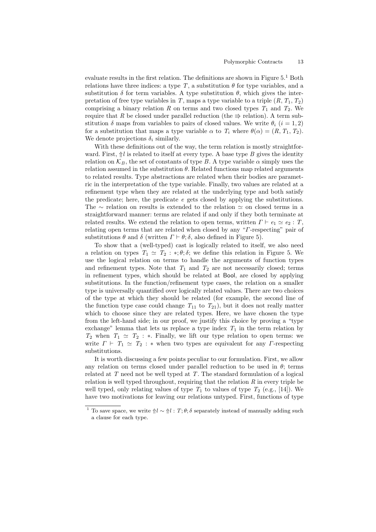evaluate results in the first relation. The definitions are shown in Figure  $5<sup>1</sup>$  Both relations have three indices: a type  $T$ , a substitution  $\theta$  for type variables, and a substitution  $\delta$  for term variables. A type substitution  $\theta$ , which gives the interpretation of free type variables in T, maps a type variable to a triple  $(R, T_1, T_2)$ comprising a binary relation R on terms and two closed types  $T_1$  and  $T_2$ . We require that R be closed under parallel reduction (the  $\Rightarrow$  relation). A term substitution  $\delta$  maps from variables to pairs of closed values. We write  $\theta_i$  (i = 1, 2) for a substitution that maps a type variable  $\alpha$  to  $T_i$  where  $\theta(\alpha) = (R, T_1, T_2)$ . We denote projections  $\delta_i$  similarly.

With these definitions out of the way, the term relation is mostly straightforward. First,  $\Uparrow l$  is related to itself at every type. A base type B gives the identity relation on  $\mathcal{K}_B$ , the set of constants of type B. A type variable  $\alpha$  simply uses the relation assumed in the substitution  $\theta$ . Related functions map related arguments to related results. Type abstractions are related when their bodies are parametric in the interpretation of the type variable. Finally, two values are related at a refinement type when they are related at the underlying type and both satisfy the predicate; here, the predicate  $e$  gets closed by applying the substitutions. The  $\sim$  relation on results is extended to the relation  $\simeq$  on closed terms in a straightforward manner: terms are related if and only if they both terminate at related results. We extend the relation to open terms, written  $\Gamma \vdash e_1 \simeq e_2 : T$ , relating open terms that are related when closed by any "Γ-respecting" pair of substitutions  $\theta$  and  $\delta$  (written  $\Gamma \vdash \theta$ ;  $\delta$ , also defined in Figure 5).

To show that a (well-typed) cast is logically related to itself, we also need a relation on types  $T_1 \simeq T_2 : *, \theta; \delta;$  we define this relation in Figure 5. We use the logical relation on terms to handle the arguments of function types and refinement types. Note that  $T_1$  and  $T_2$  are not necessarily closed; terms in refinement types, which should be related at Bool, are closed by applying substitutions. In the function/refinement type cases, the relation on a smaller type is universally quantified over logically related values. There are two choices of the type at which they should be related (for example, the second line of the function type case could change  $T_{11}$  to  $T_{21}$ ), but it does not really matter which to choose since they are related types. Here, we have chosen the type from the left-hand side; in our proof, we justify this choice by proving a "type exchange" lemma that lets us replace a type index  $T_1$  in the term relation by  $T_2$  when  $T_1 \simeq T_2 : *$ . Finally, we lift our type relation to open terms: we write  $\Gamma \vdash T_1 \simeq T_2 : *$  when two types are equivalent for any  $\Gamma$ -respecting substitutions.

It is worth discussing a few points peculiar to our formulation. First, we allow any relation on terms closed under parallel reduction to be used in  $\theta$ ; terms related at  $T$  need not be well typed at  $T$ . The standard formulation of a logical relation is well typed throughout, requiring that the relation  $R$  in every triple be well typed, only relating values of type  $T_1$  to values of type  $T_2$  (e.g., [14]). We have two motivations for leaving our relations untyped. First, functions of type

<sup>&</sup>lt;sup>1</sup> To save space, we write  $\mathcal{N}l : T; \theta; \delta$  separately instead of manually adding such a clause for each type.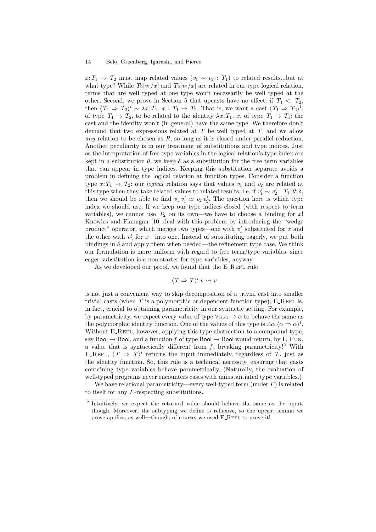$x: T_1 \to T_2$  must map related values  $(v_1 \sim v_2 : T_1)$  to related results...but at what type? While  $T_2[v_1/x]$  and  $T_2[v_2/x]$  are related in our type logical relation, terms that are well typed at one type won't necessarily be well typed at the other. Second, we prove in Section 5 that upcasts have no effect: if  $T_1 \leq T_2$ , then  $\langle T_1 \Rightarrow T_2 \rangle^l \sim \lambda x$ :  $T_1$ .  $x: T_1 \to T_2$ . That is, we want a cast  $\langle T_1 \Rightarrow T_2 \rangle^l$ , of type  $T_1 \rightarrow T_2$ , to be related to the identity  $\lambda x$ :  $T_1$ .  $x$ , of type  $T_1 \rightarrow T_1$ : the cast and the identity won't (in general) have the same type. We therefore don't demand that two expressions related at  $T$  be well typed at  $T$ , and we allow any relation to be chosen as  $R$ , so long as it is closed under parallel reduction. Another peculiarity is in our treatment of substitutions and type indices. Just as the interpretation of free type variables in the logical relation's type index are kept in a substitution  $\theta$ , we keep  $\delta$  as a substitution for the free term variables that can appear in type indices. Keeping this substitution separate avoids a problem in defining the logical relation at function types. Consider a function type  $x: T_1 \to T_2$ : our *logical* relation says that values  $v_1$  and  $v_2$  are related at this type when they take related values to related results, i.e. if  $v'_1 \sim v'_2$ :  $T_1$ ;  $\theta$ ;  $\delta$ , then we should be able to find  $v_1 v_1' \simeq v_2 v_2'$ . The question here is which type index we should use. If we keep our type indices closed (with respect to term variables), we cannot use  $T_2$  on its own—we have to choose a binding for x! Knowles and Flanagan [10] deal with this problem by introducing the "wedge product" operator, which merges two types—one with  $v'_1$  substituted for x and the other with  $v_2'$  for x—into one. Instead of substituting eagerly, we put both bindings in  $\delta$  and apply them when needed—the refinement type case. We think our formulation is more uniform with regard to free term/type variables, since eager substitution is a non-starter for type variables, anyway.

As we developed our proof, we found that the E\_REFL rule

$$
\langle T \Rightarrow T \rangle^l v \rightsquigarrow v
$$

is not just a convenient way to skip decomposition of a trivial cast into smaller trivial casts (when  $T$  is a polymorphic or dependent function type); E\_REFL is, in fact, crucial to obtaining parametricity in our syntactic setting. For example, by parametricity, we expect every value of type  $\forall \alpha \alpha \rightarrow \alpha$  to behave the same as the polymorphic identity function. One of the values of this type is  $\Lambda \alpha . \langle \alpha \Rightarrow \alpha \rangle^l$ . Without E\_REFL, however, applying this type abstraction to a compound type, say Bool  $\rightarrow$  Bool, and a function f of type Bool  $\rightarrow$  Bool would return, by E\_FUN, a value that is syntactically different from  $f$ , breaking parametricity!<sup>2</sup> With E\_REFL,  $\langle T \Rightarrow T \rangle^l$  returns the input immediately, regardless of T, just as the identity function. So, this rule is a technical necessity, ensuring that casts containing type variables behave parametrically. (Naturally, the evaluation of well-typed programs never encounters casts with uninstantiated type variables.)

We have relational parametricity—every well-typed term (under  $\Gamma$ ) is related to itself for any  $\Gamma$ -respecting substitutions.

<sup>&</sup>lt;sup>2</sup> Intuitively, we expect the returned value should behave the same as the input, though. Moreover, the subtyping we define is reflexive, so the upcast lemma we prove applies, as well—though, of course, we used E\_REFL to prove it!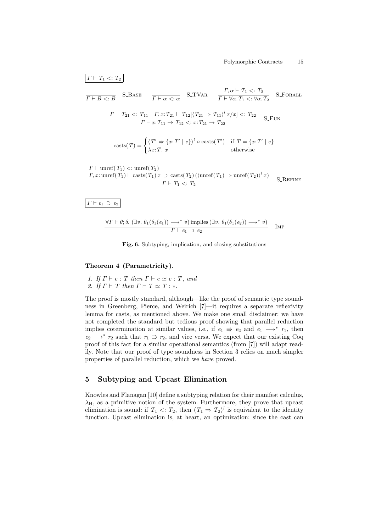$$
\boxed{I \vdash T_1 <: T_2}
$$
\n
$$
\overline{I \vdash B <: B}
$$
\nS-BASE\n
$$
\overline{I \vdash \alpha <: \alpha}
$$
\nS-TVaR\n
$$
\frac{\Gamma, \alpha \vdash T_1 <: T_2}{\Gamma \vdash \forall \alpha. T_1 <: \forall \alpha. T_2}
$$
\nS-FORALL\n
$$
\frac{\Gamma \vdash T_{21} <: T_{11} \quad \Gamma, x: T_{21} \vdash T_{12} [\langle T_{21} \Rightarrow T_{11} \rangle^l x / x] <: T_{22}}{\Gamma \vdash x: T_{11} \rightarrow T_{12} <: x: T_{21} \rightarrow T_{22}}
$$
\nS-FUN\n
$$
\text{casts}(T) = \begin{cases} \langle T' \Rightarrow \{x: T' \mid e\} \rangle^l \circ \text{casts}(T') & \text{if } T = \{x: T' \mid e\} \\ \lambda x: T. x & \text{otherwise} \end{cases}
$$
\n
$$
\Gamma \vdash \text{unref}(T_1) <: \text{unref}(T_2)
$$

$$
\frac{\Gamma_1 \cdot \text{uncr}(T_1) < \text{uncr}(T_2)}{\Gamma_1 \cdot \text{casts}(T_1) + \text{casts}(T_1) \cdot \text{casts}(T_2) \cdot (\text{unref}(T_1) \Rightarrow \text{unref}(T_2)) \cdot x)}{\Gamma_1 \cdot \text{c} \cdot T_2} \quad \text{S\_REFINE}
$$

 $\overline{\Gamma} \vdash e_1 \supset e_2$ 

$$
\frac{\forall \Gamma \vdash \theta; \delta. \ (\exists v. \ \theta_1(\delta_1(e_1)) \longrightarrow^* v) \text{ implies } (\exists v. \ \theta_1(\delta_1(e_2)) \longrightarrow^* v)}{\Gamma \vdash e_1 \supset e_2} \quad \text{Imp}
$$

Fig. 6. Subtyping, implication, and closing substitutions

# Theorem 4 (Parametricity).

1. If  $\Gamma \vdash e : T$  then  $\Gamma \vdash e \simeq e : T$ , and 2. If  $\Gamma \vdash T$  then  $\Gamma \vdash T \simeq T : *$ .

The proof is mostly standard, although—like the proof of semantic type soundness in Greenberg, Pierce, and Weirich [7]—it requires a separate reflexivity lemma for casts, as mentioned above. We make one small disclaimer: we have not completed the standard but tedious proof showing that parallel reduction implies cotermination at similar values, i.e., if  $e_1 \Rightarrow e_2$  and  $e_1 \longrightarrow^* r_1$ , then  $e_2 \longrightarrow^* r_2$  such that  $r_1 \Rightarrow r_2$ , and vice versa. We expect that our existing Coq proof of this fact for a similar operational semantics (from [7]) will adapt readily. Note that our proof of type soundness in Section 3 relies on much simpler properties of parallel reduction, which we have proved.

# 5 Subtyping and Upcast Elimination

Knowles and Flanagan [10] define a subtyping relation for their manifest calculus,  $\lambda_{\rm H}$ , as a primitive notion of the system. Furthermore, they prove that upcast elimination is sound: if  $T_1 \leq T_2$ , then  $\langle T_1 \Rightarrow T_2 \rangle^l$  is equivalent to the identity function. Upcast elimination is, at heart, an optimization: since the cast can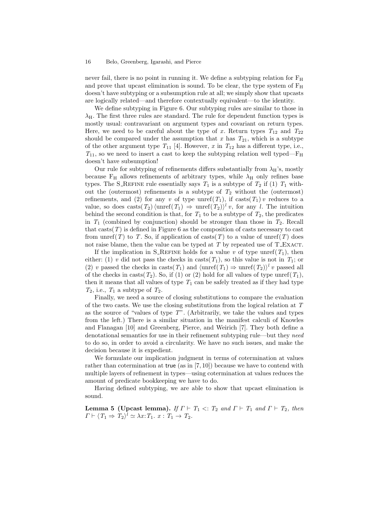never fail, there is no point in running it. We define a subtyping relation for  $F_H$ and prove that upcast elimination is sound. To be clear, the type system of  $F_H$ doesn't have subtyping or a subsumption rule at all; we simply show that upcasts are logically related—and therefore contextually equivalent—to the identity.

We define subtyping in Figure 6. Our subtyping rules are similar to those in  $\lambda_{\rm H}$ . The first three rules are standard. The rule for dependent function types is mostly usual: contravariant on argument types and covariant on return types. Here, we need to be careful about the type of x. Return types  $T_{12}$  and  $T_{22}$ should be compared under the assumption that x has  $T_{21}$ , which is a subtype of the other argument type  $T_{11}$  [4]. However, x in  $T_{12}$  has a different type, i.e.,  $T_{11}$ , so we need to insert a cast to keep the subtyping relation well typed—F<sub>H</sub> doesn't have subsumption!

Our rule for subtyping of refinements differs substantially from  $\lambda_{H}$ 's, mostly because  $F_H$  allows refinements of arbitrary types, while  $\lambda_H$  only refines base types. The S\_REFINE rule essentially says  $T_1$  is a subtype of  $T_2$  if (1)  $T_1$  without the (outermost) refinements is a subtype of  $T_2$  without the (outermost) refinements, and (2) for any v of type unref( $T_1$ ), if casts( $T_1$ ) v reduces to a value, so does casts(T<sub>2</sub>)  $\langle$ unref(T<sub>1</sub>)  $\Rightarrow$  unref(T<sub>2</sub>) $\rangle$ <sup>l</sup> v, for any l. The intuition behind the second condition is that, for  $T_1$  to be a subtype of  $T_2$ , the predicates in  $T_1$  (combined by conjunction) should be stronger than those in  $T_2$ . Recall that casts $(T)$  is defined in Figure 6 as the composition of casts necessary to cast from unref(T) to T. So, if application of casts(T) to a value of unref(T) does not raise blame, then the value can be typed at  $T$  by repeated use of T\_EXACT.

If the implication in S\_REFINE holds for a value v of type unref( $T_1$ ), then either: (1) v did not pass the checks in casts( $T_1$ ), so this value is not in  $T_1$ ; or (2) v passed the checks in casts( $T_1$ ) and  $\langle \text{unref}(T_1) \Rightarrow \text{unref}(T_2) \rangle^l v$  passed all of the checks in casts( $T_2$ ). So, if (1) or (2) hold for all values of type unref( $T_1$ ), then it means that all values of type  $T_1$  can be safely treated as if they had type  $T_2$ , i.e.,  $T_1$  a subtype of  $T_2$ .

Finally, we need a source of closing substitutions to compare the evaluation of the two casts. We use the closing substitutions from the logical relation at T as the source of "values of type  $T$ ". (Arbitrarily, we take the values and types from the left.) There is a similar situation in the manifest calculi of Knowles and Flanagan [10] and Greenberg, Pierce, and Weirich [7]. They both define a denotational semantics for use in their refinement subtyping rule—but they need to do so, in order to avoid a circularity. We have no such issues, and make the decision because it is expedient.

We formulate our implication judgment in terms of cotermination at values rather than cotermination at true (as in [7, 10]) because we have to contend with multiple layers of refinement in types—using cotermination at values reduces the amount of predicate bookkeeping we have to do.

Having defined subtyping, we are able to show that upcast elimination is sound.

**Lemma 5 (Upcast lemma).** If  $\Gamma \vdash T_1 \lt: T_2$  and  $\Gamma \vdash T_1$  and  $\Gamma \vdash T_2$ , then  $\Gamma \vdash \langle T_1 \Rightarrow T_2 \rangle^l \simeq \lambda x \colon T_1 \cdot x : T_1 \to T_2.$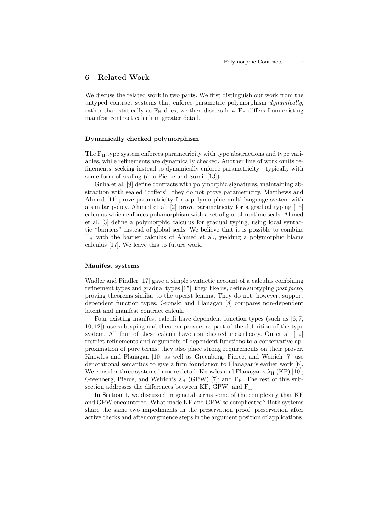### 6 Related Work

We discuss the related work in two parts. We first distinguish our work from the untyped contract systems that enforce parametric polymorphism dynamically, rather than statically as  $F_H$  does; we then discuss how  $F_H$  differs from existing manifest contract calculi in greater detail.

#### Dynamically checked polymorphism

The F<sub>H</sub> type system enforces parametricity with type abstractions and type variables, while refinements are dynamically checked. Another line of work omits refinements, seeking instead to dynamically enforce parametricity—typically with some form of sealing (à la Pierce and Sumii [13]).

Guha et al. [9] define contracts with polymorphic signatures, maintaining abstraction with sealed "coffers"; they do not prove parametricity. Matthews and Ahmed [11] prove parametricity for a polymorphic multi-language system with a similar policy. Ahmed et al. [2] prove parametricity for a gradual typing [15] calculus which enforces polymorphism with a set of global runtime seals. Ahmed et al. [3] define a polymorphic calculus for gradual typing, using local syntactic "barriers" instead of global seals. We believe that it is possible to combine  $F_H$  with the barrier calculus of Ahmed et al., yielding a polymorphic blame calculus [17]. We leave this to future work.

### Manifest systems

Wadler and Findler [17] gave a simple syntactic account of a calculus combining refinement types and gradual types [15]; they, like us, define subtyping post facto, proving theorems similar to the upcast lemma. They do not, however, support dependent function types. Gronski and Flanagan [8] compares non-dependent latent and manifest contract calculi.

Four existing manifest calculi have dependent function types (such as  $[6, 7]$ , 10, 12]) use subtyping and theorem provers as part of the definition of the type system. All four of these calculi have complicated metatheory. Ou et al. [12] restrict refinements and arguments of dependent functions to a conservative approximation of pure terms; they also place strong requirements on their prover. Knowles and Flanagan [10] as well as Greenberg, Pierce, and Weirich [7] use denotational semantics to give a firm foundation to Flanagan's earlier work [6]. We consider three systems in more detail: Knowles and Flanagan's  $\lambda_H$  (KF) [10]; Greenberg, Pierce, and Weirich's  $\lambda_H$  (GPW) [7]; and F<sub>H</sub>. The rest of this subsection addresses the differences between KF, GPW, and  $F_H$ .

In Section 1, we discussed in general terms some of the complexity that KF and GPW encountered. What made KF and GPW so complicated? Both systems share the same two impediments in the preservation proof: preservation after active checks and after congruence steps in the argument position of applications.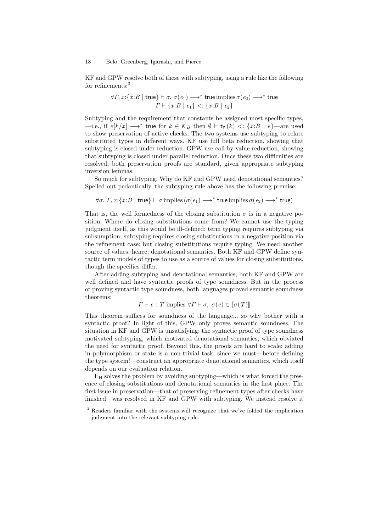KF and GPW resolve both of these with subtyping, using a rule like the following for refinements:<sup>3</sup>

$$
\frac{\forall \Gamma, x: \{x: B \mid \mathsf{true}\} \vdash \sigma. \ \sigma(e_1) \longrightarrow^* \mathsf{true} \mathsf{implies} \ \sigma(e_2) \longrightarrow^* \mathsf{true}}{\Gamma \vdash \{x: B \mid e_1\} <: \{x: B \mid e_2\}}
$$

Subtyping and the requirement that constants be assigned most specific types, —i.e., if  $e[k/x]$  →\* true for  $k \in \mathcal{K}_B$  then  $\emptyset \vdash$  ty  $(k)$  <: {x:B | e}—are used to show preservation of active checks. The two systems use subtyping to relate substituted types in different ways. KF use full beta reduction, showing that subtyping is closed under reduction. GPW use call-by-value reduction, showing that subtyping is closed under parallel reduction. Once these two difficulties are resolved, both preservation proofs are standard, given appropriate subtyping inversion lemmas.

So much for subtyping. Why do KF and GPW need denotational semantics? Spelled out pedantically, the subtyping rule above has the following premise:

$$
\forall \sigma. \ \varGamma, x: \{x: B \mid \mathsf{true}\} \vdash \sigma \text{ implies } (\sigma(e_1) \longrightarrow^* \mathsf{true} \text{ implies } \sigma(e_2) \longrightarrow^* \mathsf{true})
$$

That is, the well formedness of the closing substitution  $\sigma$  is in a negative position. Where do closing substitutions come from? We cannot use the typing judgment itself, as this would be ill-defined: term typing requires subtyping via subsumption; subtyping requires closing substitutions in a negative position via the refinement case; but closing substitutions require typing. We need another source of values: hence, denotational semantics. Both KF and GPW define syntactic term models of types to use as a source of values for closing substitutions, though the specifics differ.

After adding subtyping and denotational semantics, both KF and GPW are well defined and have syntactic proofs of type soundness. But in the process of proving syntactic type soundness, both languages proved semantic soundness theorems:

$$
\Gamma \vdash e : T
$$
 implies  $\forall \Gamma \vdash \sigma, \ \sigma(e) \in [\![\sigma(T)]\!]$ 

This theorem suffices for soundness of the language... so why bother with a syntactic proof? In light of this, GPW only proves semantic soundness. The situation in KF and GPW is unsatisfying: the syntactic proof of type soundness motivated subtyping, which motivated denotational semantics, which obviated the need for syntactic proof. Beyond this, the proofs are hard to scale: adding in polymorphism or state is a non-trivial task, since we must—before defining the type system!—construct an appropriate denotational semantics, which itself depends on our evaluation relation.

F<sup>H</sup> solves the problem by avoiding subtyping—which is what forced the presence of closing substitutions and denotational semantics in the first place. The first issue in preservation—that of preserving refinement types after checks have finished—was resolved in KF and GPW with subtyping. We instead resolve it

<sup>3</sup> Readers familiar with the systems will recognize that we've folded the implication judgment into the relevant subtyping rule.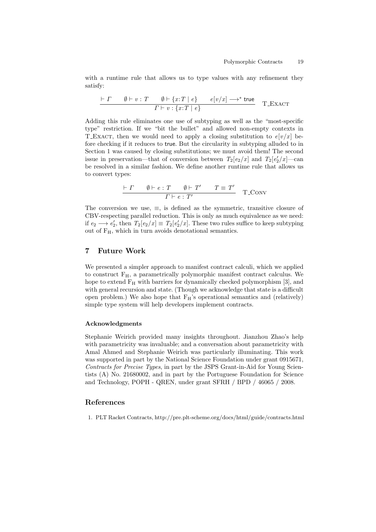with a runtime rule that allows us to type values with any refinement they satisfy:

$$
\frac{\vdash \Gamma \qquad \emptyset \vdash v : T \qquad \emptyset \vdash \{x : T \mid e\} \qquad e[v/x] \longrightarrow^* \text{true}}{\Gamma \vdash v : \{x : T \mid e\}} \qquad \text{T\_EXACT}
$$

Adding this rule eliminates one use of subtyping as well as the "most-specific type" restriction. If we "bit the bullet" and allowed non-empty contexts in T\_EXACT, then we would need to apply a closing substitution to  $e[v/x]$  before checking if it reduces to true. But the circularity in subtyping alluded to in Section 1 was caused by closing substitutions; we must avoid them! The second issue in preservation—that of conversion between  $T_2[e_2/x]$  and  $T_2[e'_2/x]$ —can be resolved in a similar fashion. We define another runtime rule that allows us to convert types:

$$
\frac{\vdash \Gamma \qquad \emptyset \vdash e : T \qquad \emptyset \vdash T' \qquad T \equiv T'}{\Gamma \vdash e : T'} \quad \text{T\_Conv}
$$

The conversion we use,  $\equiv$ , is defined as the symmetric, transitive closure of CBV-respecting parallel reduction. This is only as much equivalence as we need: if  $e_2 \longrightarrow e'_2$ , then  $T_2[e_2/x] \equiv T_2[e'_2/x]$ . These two rules suffice to keep subtyping out of  $F_H$ , which in turn avoids denotational semantics.

# 7 Future Work

We presented a simpler approach to manifest contract calculi, which we applied to construct  $F_H$ , a parametrically polymorphic manifest contract calculus. We hope to extend  $F_H$  with barriers for dynamically checked polymorphism [3], and with general recursion and state. (Though we acknowledge that state is a difficult open problem.) We also hope that  $F_H$ 's operational semantics and (relatively) simple type system will help developers implement contracts.

### Acknowledgments

Stephanie Weirich provided many insights throughout. Jianzhou Zhao's help with parametricity was invaluable; and a conversation about parametricity with Amal Ahmed and Stephanie Weirich was particularly illuminating. This work was supported in part by the National Science Foundation under grant 0915671, Contracts for Precise Types, in part by the JSPS Grant-in-Aid for Young Scientists (A) No. 21680002, and in part by the Portuguese Foundation for Science and Technology, POPH - QREN, under grant SFRH / BPD / 46065 / 2008.

### References

1. PLT Racket Contracts, http://pre.plt-scheme.org/docs/html/guide/contracts.html